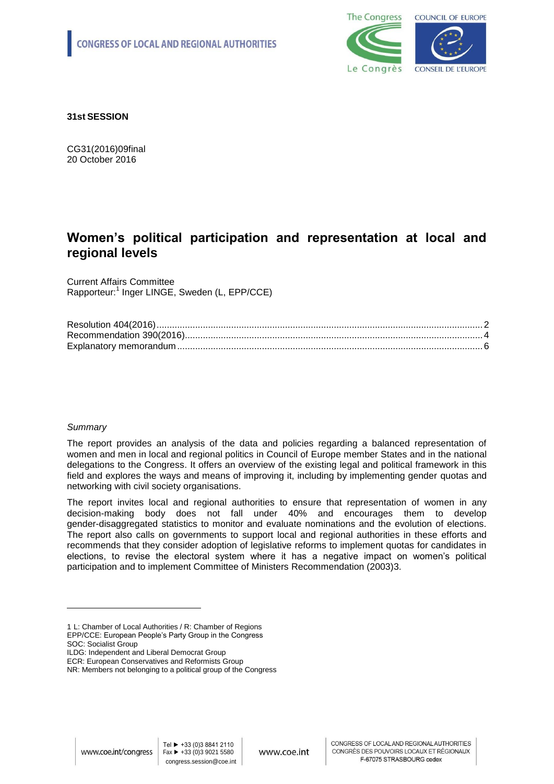

**31st SESSION**

CG31(2016)09final 20 October 2016

# **Women's political participation and representation at local and regional levels**

Current Affairs Committee Rapporteur:<sup>1</sup> Inger LINGE, Sweden (L, EPP/CCE)

# *Summary*

1

The report provides an analysis of the data and policies regarding a balanced representation of women and men in local and regional politics in Council of Europe member States and in the national delegations to the Congress. It offers an overview of the existing legal and political framework in this field and explores the ways and means of improving it, including by implementing gender quotas and networking with civil society organisations.

The report invites local and regional authorities to ensure that representation of women in any decision-making body does not fall under 40% and encourages them to develop gender-disaggregated statistics to monitor and evaluate nominations and the evolution of elections. The report also calls on governments to support local and regional authorities in these efforts and recommends that they consider adoption of legislative reforms to implement quotas for candidates in elections, to revise the electoral system where it has a negative impact on women's political participation and to implement Committee of Ministers Recommendation (2003)3.

<sup>1</sup> L: Chamber of Local Authorities / R: Chamber of Regions EPP/CCE: European People's Party Group in the Congress SOC: Socialist Group

ILDG: Independent and Liberal Democrat Group

ECR: European Conservatives and Reformists Group

NR: Members not belonging to a political group of the Congress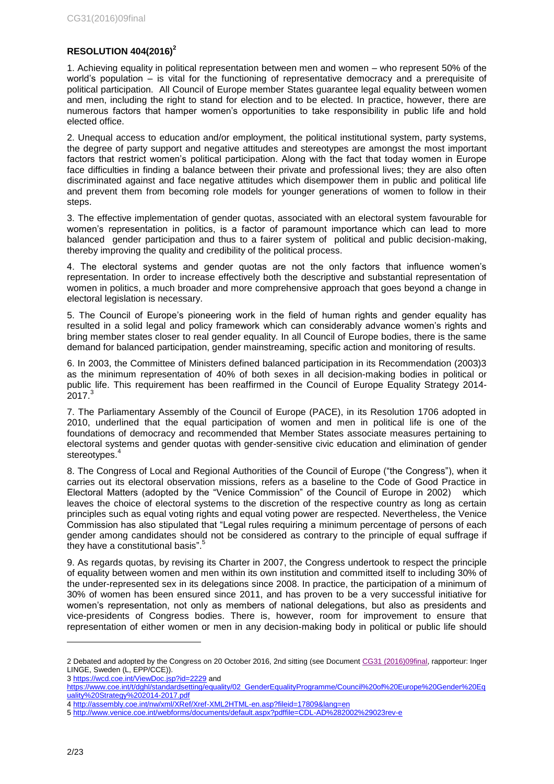# <span id="page-1-0"></span>**RESOLUTION 404(2016)<sup>2</sup>**

1. Achieving equality in political representation between men and women – who represent 50% of the world's population – is vital for the functioning of representative democracy and a prerequisite of political participation. All Council of Europe member States guarantee legal equality between women and men, including the right to stand for election and to be elected. In practice, however, there are numerous factors that hamper women's opportunities to take responsibility in public life and hold elected office.

2. Unequal access to education and/or employment, the political institutional system, party systems, the degree of party support and negative attitudes and stereotypes are amongst the most important factors that restrict women's political participation. Along with the fact that today women in Europe face difficulties in finding a balance between their private and professional lives; they are also often discriminated against and face negative attitudes which disempower them in public and political life and prevent them from becoming role models for younger generations of women to follow in their steps.

3. The effective implementation of gender quotas, associated with an electoral system favourable for women's representation in politics, is a factor of paramount importance which can lead to more balanced gender participation and thus to a fairer system of political and public decision-making, thereby improving the quality and credibility of the political process.

4. The electoral systems and gender quotas are not the only factors that influence women's representation. In order to increase effectively both the descriptive and substantial representation of women in politics, a much broader and more comprehensive approach that goes beyond a change in electoral legislation is necessary.

5. The Council of Europe's pioneering work in the field of human rights and gender equality has resulted in a solid legal and policy framework which can considerably advance women's rights and bring member states closer to real gender equality. In all Council of Europe bodies, there is the same demand for balanced participation, gender mainstreaming, specific action and monitoring of results.

6. In 2003, the Committee of Ministers defined balanced participation in its Recommendation (2003)3 as the minimum representation of 40% of both sexes in all decision-making bodies in political or public life. This requirement has been reaffirmed in the Council of Europe Equality Strategy 2014-  $2017<sup>3</sup>$ 

7. The Parliamentary Assembly of the Council of Europe (PACE), in its Resolution 1706 adopted in 2010, underlined that the equal participation of women and men in political life is one of the foundations of democracy and recommended that Member States associate measures pertaining to electoral systems and gender quotas with gender-sensitive civic education and elimination of gender stereotypes.<sup>4</sup>

8. The Congress of Local and Regional Authorities of the Council of Europe ("the Congress"), when it carries out its electoral observation missions, refers as a baseline to the Code of Good Practice in Electoral Matters (adopted by the "Venice Commission" of the Council of Europe in 2002) which leaves the choice of electoral systems to the discretion of the respective country as long as certain principles such as equal voting rights and equal voting power are respected. Nevertheless, the Venice Commission has also stipulated that "Legal rules requiring a minimum percentage of persons of each gender among candidates should not be considered as contrary to the principle of equal suffrage if they have a constitutional basis".<sup>5</sup>

9. As regards quotas, by revising its Charter in 2007, the Congress undertook to respect the principle of equality between women and men within its own institution and committed itself to including 30% of the under-represented sex in its delegations since 2008. In practice, the participation of a minimum of 30% of women has been ensured since 2011, and has proven to be a very successful initiative for women's representation, not only as members of national delegations, but also as presidents and vice-presidents of Congress bodies. There is, however, room for improvement to ensure that representation of either women or men in any decision-making body in political or public life should

<sup>2</sup> Debated and adopted by the Congress on 20 October 2016, 2nd sitting (see Documen[t CG31 \(2016\)09final,](https://wcd.coe.int/ViewDoc.jsp?p=&Ref=CG31(2016)09FINAL&Language=lanEnglish&Ver=original&Site=COE&BackColorInternet=C3C3C3&BackColorIntranet=CACC9A&BackColorLogged=EFEA9C&direct=true) rapporteur: Inger LINGE, Sweden (L, EPP/CCE)).

<sup>3</sup> <https://wcd.coe.int/ViewDoc.jsp?id=2229> and

[https://www.coe.int/t/dghl/standardsetting/equality/02\\_GenderEqualityProgramme/Council%20of%20Europe%20Gender%20Eq](https://www.coe.int/t/dghl/standardsetting/equality/02_GenderEqualityProgramme/Council%20of%20Europe%20Gender%20Equality%20Strategy%202014-2017.pdf) [uality%20Strategy%202014-2017.pdf](https://www.coe.int/t/dghl/standardsetting/equality/02_GenderEqualityProgramme/Council%20of%20Europe%20Gender%20Equality%20Strategy%202014-2017.pdf)

<sup>4</sup> <http://assembly.coe.int/nw/xml/XRef/Xref-XML2HTML-en.asp?fileid=17809&lang=en>

<sup>5</sup> <http://www.venice.coe.int/webforms/documents/default.aspx?pdffile=CDL-AD%282002%29023rev-e>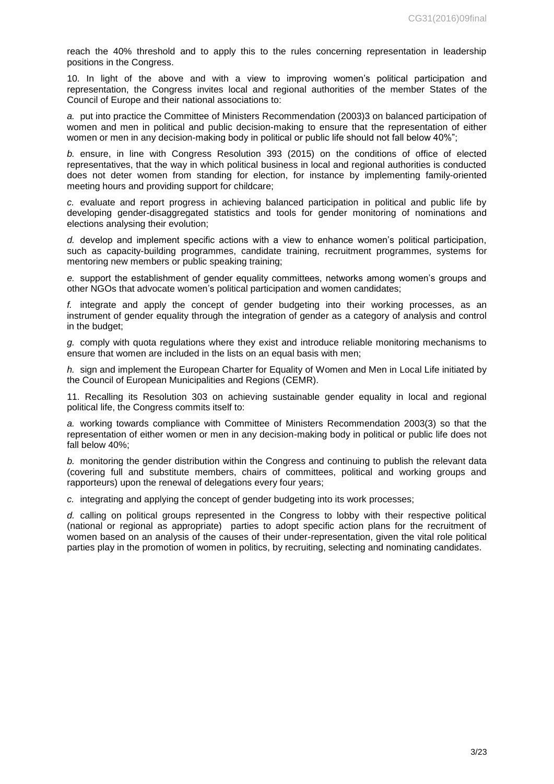reach the 40% threshold and to apply this to the rules concerning representation in leadership positions in the Congress.

10. In light of the above and with a view to improving women's political participation and representation, the Congress invites local and regional authorities of the member States of the Council of Europe and their national associations to:

*a.* put into practice the Committee of Ministers Recommendation (2003)3 on balanced participation of women and men in political and public decision-making to ensure that the representation of either women or men in any decision-making body in political or public life should not fall below 40%";

*b.* ensure, in line with Congress Resolution 393 (2015) on the conditions of office of elected representatives, that the way in which political business in local and regional authorities is conducted does not deter women from standing for election, for instance by implementing family-oriented meeting hours and providing support for childcare;

*c.* evaluate and report progress in achieving balanced participation in political and public life by developing gender-disaggregated statistics and tools for gender monitoring of nominations and elections analysing their evolution;

*d.* develop and implement specific actions with a view to enhance women's political participation, such as capacity-building programmes, candidate training, recruitment programmes, systems for mentoring new members or public speaking training;

*e.* support the establishment of gender equality committees, networks among women's groups and other NGOs that advocate women's political participation and women candidates;

*f.* integrate and apply the concept of gender budgeting into their working processes, as an instrument of gender equality through the integration of gender as a category of analysis and control in the budget;

*g.* comply with quota regulations where they exist and introduce reliable monitoring mechanisms to ensure that women are included in the lists on an equal basis with men;

*h.* sign and implement the European Charter for Equality of Women and Men in Local Life initiated by the Council of European Municipalities and Regions (CEMR).

11. Recalling its Resolution 303 on achieving sustainable gender equality in local and regional political life, the Congress commits itself to:

*a.* working towards compliance with Committee of Ministers Recommendation 2003(3) so that the representation of either women or men in any decision-making body in political or public life does not fall below 40%;

*b.* monitoring the gender distribution within the Congress and continuing to publish the relevant data (covering full and substitute members, chairs of committees, political and working groups and rapporteurs) upon the renewal of delegations every four years;

*c.* integrating and applying the concept of gender budgeting into its work processes;

*d.* calling on political groups represented in the Congress to lobby with their respective political (national or regional as appropriate) parties to adopt specific action plans for the recruitment of women based on an analysis of the causes of their under-representation, given the vital role political parties play in the promotion of women in politics, by recruiting, selecting and nominating candidates.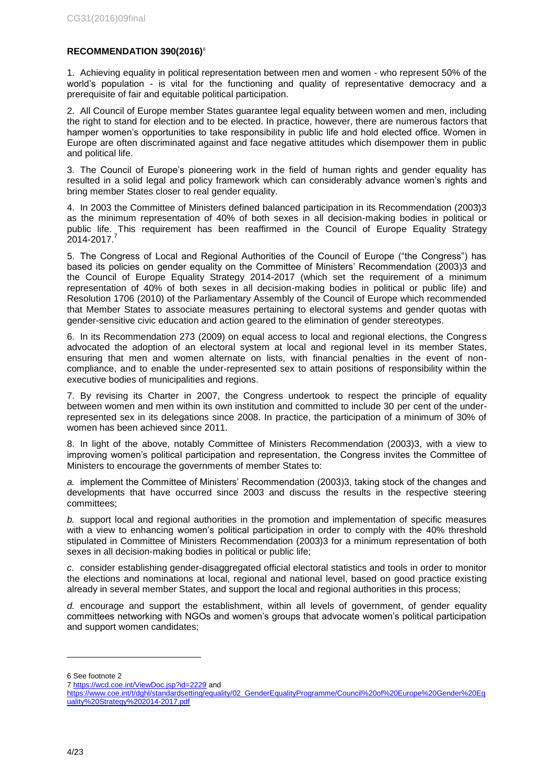## <span id="page-3-0"></span>**RECOMMENDATION 390(2016)**<sup>6</sup>

1. Achieving equality in political representation between men and women - who represent 50% of the world's population - is vital for the functioning and quality of representative democracy and a prerequisite of fair and equitable political participation.

2. All Council of Europe member States guarantee legal equality between women and men, including the right to stand for election and to be elected. In practice, however, there are numerous factors that hamper women's opportunities to take responsibility in public life and hold elected office. Women in Europe are often discriminated against and face negative attitudes which disempower them in public and political life.

3. The Council of Europe's pioneering work in the field of human rights and gender equality has resulted in a solid legal and policy framework which can considerably advance women's rights and bring member States closer to real gender equality.

4. In 2003 the Committee of Ministers defined balanced participation in its Recommendation (2003)3 as the minimum representation of 40% of both sexes in all decision-making bodies in political or public life. This requirement has been reaffirmed in the Council of Europe Equality Strategy 2014-2017.<sup>7</sup>

5. The Congress of Local and Regional Authorities of the Council of Europe ("the Congress") has based its policies on gender equality on the Committee of Ministers' Recommendation (2003)3 and the Council of Europe Equality Strategy 2014-2017 (which set the requirement of a minimum representation of 40% of both sexes in all decision-making bodies in political or public life) and Resolution 1706 (2010) of the Parliamentary Assembly of the Council of Europe which recommended that Member States to associate measures pertaining to electoral systems and gender quotas with gender-sensitive civic education and action geared to the elimination of gender stereotypes.

6. In its Recommendation 273 (2009) on equal access to local and regional elections, the Congress advocated the adoption of an electoral system at local and regional level in its member States, ensuring that men and women alternate on lists, with financial penalties in the event of noncompliance, and to enable the under-represented sex to attain positions of responsibility within the executive bodies of municipalities and regions.

7. By revising its Charter in 2007, the Congress undertook to respect the principle of equality between women and men within its own institution and committed to include 30 per cent of the underrepresented sex in its delegations since 2008. In practice, the participation of a minimum of 30% of women has been achieved since 2011.

8. In light of the above, notably Committee of Ministers Recommendation (2003)3, with a view to improving women's political participation and representation, the Congress invites the Committee of Ministers to encourage the governments of member States to:

*a.* implement the Committee of Ministers' Recommendation (2003)3, taking stock of the changes and developments that have occurred since 2003 and discuss the results in the respective steering committees;

*b.* support local and regional authorities in the promotion and implementation of specific measures with a view to enhancing women's political participation in order to comply with the 40% threshold stipulated in Committee of Ministers Recommendation (2003)3 for a minimum representation of both sexes in all decision-making bodies in political or public life;

*c.* consider establishing gender-disaggregated official electoral statistics and tools in order to monitor the elections and nominations at local, regional and national level, based on good practice existing already in several member States, and support the local and regional authorities in this process;

*d.* encourage and support the establishment, within all levels of government, of gender equality committees networking with NGOs and women's groups that advocate women's political participation and support women candidates;

6 See footnote 2

<sup>7</sup> <https://wcd.coe.int/ViewDoc.jsp?id=2229> and

[https://www.coe.int/t/dghl/standardsetting/equality/02\\_GenderEqualityProgramme/Council%20of%20Europe%20Gender%20Eq](https://www.coe.int/t/dghl/standardsetting/equality/02_GenderEqualityProgramme/Council%20of%20Europe%20Gender%20Equality%20Strategy%202014-2017.pdf) [uality%20Strategy%202014-2017.pdf](https://www.coe.int/t/dghl/standardsetting/equality/02_GenderEqualityProgramme/Council%20of%20Europe%20Gender%20Equality%20Strategy%202014-2017.pdf)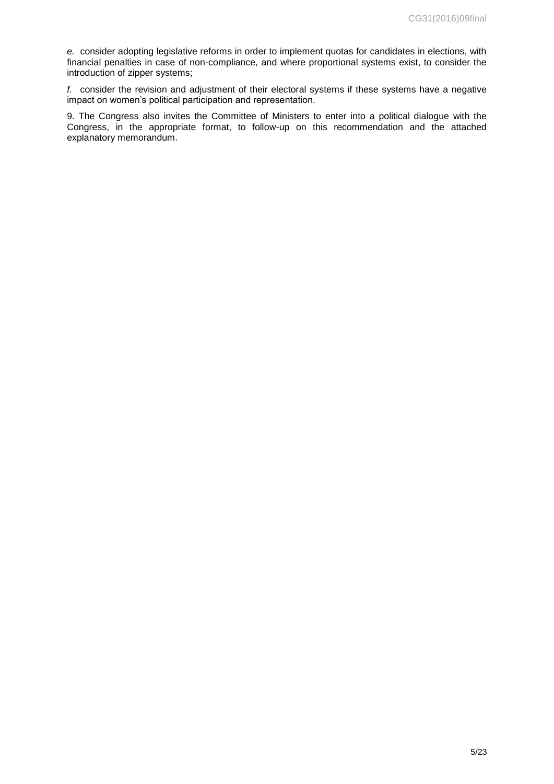*e.* consider adopting legislative reforms in order to implement quotas for candidates in elections, with financial penalties in case of non-compliance, and where proportional systems exist, to consider the introduction of zipper systems;

*f.* consider the revision and adjustment of their electoral systems if these systems have a negative impact on women's political participation and representation.

9. The Congress also invites the Committee of Ministers to enter into a political dialogue with the Congress, in the appropriate format, to follow-up on this recommendation and the attached explanatory memorandum.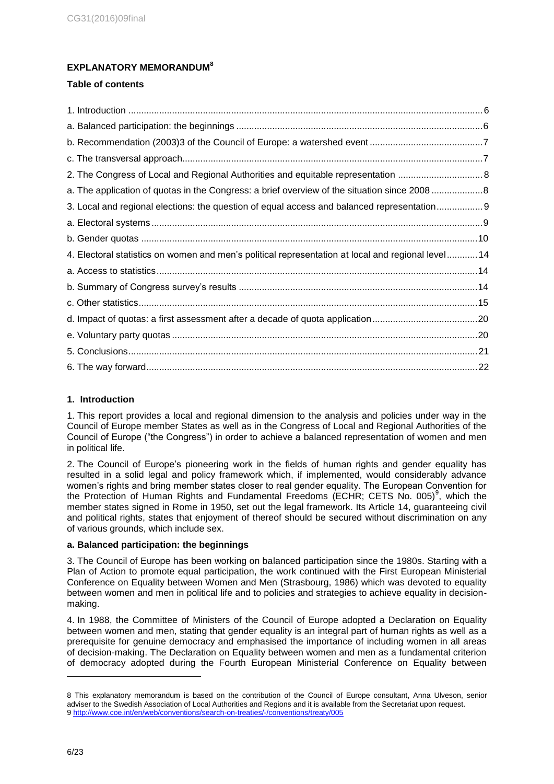# <span id="page-5-0"></span>**EXPLANATORY MEMORANDUM 8**

# **Table of contents**

| a. The application of quotas in the Congress: a brief overview of the situation since 20088        |  |
|----------------------------------------------------------------------------------------------------|--|
| 3. Local and regional elections: the question of equal access and balanced representation 9        |  |
|                                                                                                    |  |
|                                                                                                    |  |
| 4. Electoral statistics on women and men's political representation at local and regional level 14 |  |
|                                                                                                    |  |
|                                                                                                    |  |
|                                                                                                    |  |
| d. Impact of quotas: a first assessment after a decade of quota application20                      |  |
|                                                                                                    |  |
|                                                                                                    |  |
|                                                                                                    |  |

# <span id="page-5-1"></span>**1. Introduction**

1. This report provides a local and regional dimension to the analysis and policies under way in the Council of Europe member States as well as in the Congress of Local and Regional Authorities of the Council of Europe ("the Congress") in order to achieve a balanced representation of women and men in political life.

2. The Council of Europe's pioneering work in the fields of human rights and gender equality has resulted in a solid legal and policy framework which, if implemented, would considerably advance women's rights and bring member states closer to real gender equality. The European Convention for the Protection of Human Rights and Fundamental Freedoms (ECHR; CETS No. 005)<sup>9</sup>, which the member states signed in Rome in 1950, set out the legal framework. Its Article 14, guaranteeing civil and political rights, states that enjoyment of thereof should be secured without discrimination on any of various grounds, which include sex.

# <span id="page-5-2"></span>**a. Balanced participation: the beginnings**

3. The Council of Europe has been working on balanced participation since the 1980s. Starting with a Plan of Action to promote equal participation, the work continued with the First European Ministerial Conference on Equality between Women and Men (Strasbourg, 1986) which was devoted to equality between women and men in political life and to policies and strategies to achieve equality in decisionmaking.

4. In 1988, the Committee of Ministers of the Council of Europe adopted a Declaration on Equality between women and men, stating that gender equality is an integral part of human rights as well as a prerequisite for genuine democracy and emphasised the importance of including women in all areas of decision-making. The Declaration on Equality between women and men as a fundamental criterion of democracy adopted during the Fourth European Ministerial Conference on Equality between

<sup>8</sup> This explanatory memorandum is based on the contribution of the Council of Europe consultant, Anna Ulveson, senior adviser to the Swedish Association of Local Authorities and Regions and it is available from the Secretariat upon request. 9 <http://www.coe.int/en/web/conventions/search-on-treaties/-/conventions/treaty/005>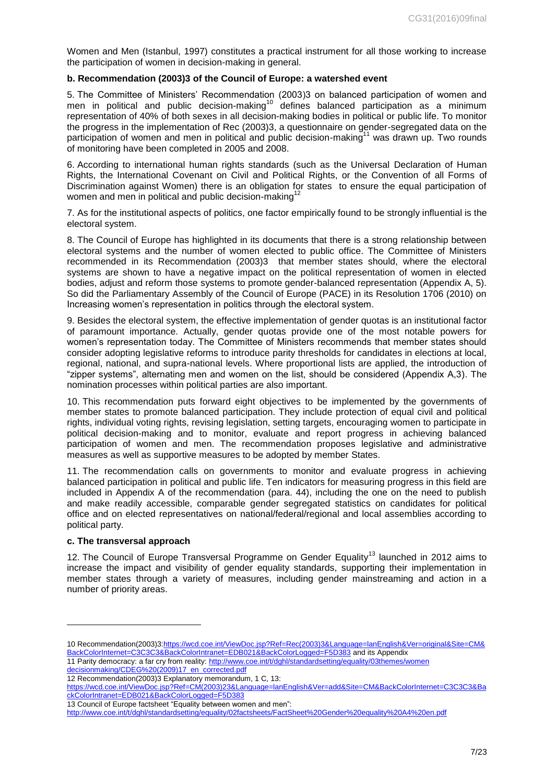Women and Men (Istanbul, 1997) constitutes a practical instrument for all those working to increase the participation of women in decision-making in general.

#### <span id="page-6-0"></span>**b. Recommendation (2003)3 of the Council of Europe: a watershed event**

5. The Committee of Ministers' Recommendation (2003)3 on balanced participation of women and men in political and public decision-making<sup>10</sup> defines balanced participation as a minimum representation of 40% of both sexes in all decision-making bodies in political or public life. To monitor the progress in the implementation of Rec (2003)3, a questionnaire on gender-segregated data on the participation of women and men in political and public decision-making<sup>11</sup> was drawn up. Two rounds of monitoring have been completed in 2005 and 2008.

6. According to international human rights standards (such as the Universal Declaration of Human Rights, the International Covenant on Civil and Political Rights, or the Convention of all Forms of Discrimination against Women) there is an obligation for states to ensure the equal participation of women and men in political and public decision-making<sup>12</sup>

7. As for the institutional aspects of politics, one factor empirically found to be strongly influential is the electoral system.

8. The Council of Europe has highlighted in its documents that there is a strong relationship between electoral systems and the number of women elected to public office. The Committee of Ministers recommended in its Recommendation (2003)3 that member states should, where the electoral systems are shown to have a negative impact on the political representation of women in elected bodies, adjust and reform those systems to promote gender-balanced representation (Appendix A, 5). So did the Parliamentary Assembly of the Council of Europe (PACE) in its Resolution 1706 (2010) on Increasing women's representation in politics through the electoral system.

9. Besides the electoral system, the effective implementation of gender quotas is an institutional factor of paramount importance. Actually, gender quotas provide one of the most notable powers for women's representation today. The Committee of Ministers recommends that member states should consider adopting legislative reforms to introduce parity thresholds for candidates in elections at local, regional, national, and supra-national levels. Where proportional lists are applied, the introduction of "zipper systems", alternating men and women on the list, should be considered (Appendix A,3). The nomination processes within political parties are also important.

10. This recommendation puts forward eight objectives to be implemented by the governments of member states to promote balanced participation. They include protection of equal civil and political rights, individual voting rights, revising legislation, setting targets, encouraging women to participate in political decision-making and to monitor, evaluate and report progress in achieving balanced participation of women and men. The recommendation proposes legislative and administrative measures as well as supportive measures to be adopted by member States.

11. The recommendation calls on governments to monitor and evaluate progress in achieving balanced participation in political and public life. Ten indicators for measuring progress in this field are included in Appendix A of the recommendation (para. 44), including the one on the need to publish and make readily accessible, comparable gender segregated statistics on candidates for political office and on elected representatives on national/federal/regional and local assemblies according to political party.

## <span id="page-6-1"></span>**c. The transversal approach**

1

12. The Council of Europe Transversal Programme on Gender Equality<sup>13</sup> launched in 2012 aims to increase the impact and visibility of gender equality standards, supporting their implementation in member states through a variety of measures, including gender mainstreaming and action in a number of priority areas.

<sup>10</sup> Recommendation(2003)[3:https://wcd.coe.int/ViewDoc.jsp?Ref=Rec\(2003\)3&Language=lanEnglish&Ver=original&Site=CM&](https://wcd.coe.int/ViewDoc.jsp?Ref=Rec(2003)3&Language=lanEnglish&Ver=original&Site=CM&BackColorInternet=C3C3C3&BackColorIntranet=EDB021&BackColorLogged=F5D383) [BackColorInternet=C3C3C3&BackColorIntranet=EDB021&BackColorLogged=F5D383](https://wcd.coe.int/ViewDoc.jsp?Ref=Rec(2003)3&Language=lanEnglish&Ver=original&Site=CM&BackColorInternet=C3C3C3&BackColorIntranet=EDB021&BackColorLogged=F5D383) and its Appendix

<sup>11</sup> Parity democracy: a far cry from reality: [http://www.coe.int/t/dghl/standardsetting/equality/03themes/women](http://www.coe.int/t/dghl/standardsetting/equality/03themes/women%20decisionmaking/CDEG%20(2009)17_en_corrected.pdf)  [decisionmaking/CDEG%20\(2009\)17\\_en\\_corrected.pdf](http://www.coe.int/t/dghl/standardsetting/equality/03themes/women%20decisionmaking/CDEG%20(2009)17_en_corrected.pdf)

<sup>12</sup> Recommendation(2003)3 Explanatory memorandum, 1 C, 13:

[https://wcd.coe.int/ViewDoc.jsp?Ref=CM\(2003\)23&Language=lanEnglish&Ver=add&Site=CM&BackColorInternet=C3C3C3&Ba](https://wcd.coe.int/ViewDoc.jsp?Ref=CM(2003)23&Language=lanEnglish&Ver=add&Site=CM&BackColorInternet=C3C3C3&BackColorIntranet=EDB021&BackColorLogged=F5D383) [ckColorIntranet=EDB021&BackColorLogged=F5D383](https://wcd.coe.int/ViewDoc.jsp?Ref=CM(2003)23&Language=lanEnglish&Ver=add&Site=CM&BackColorInternet=C3C3C3&BackColorIntranet=EDB021&BackColorLogged=F5D383)

<sup>13</sup> Council of Europe factsheet "Equality between women and men":

<http://www.coe.int/t/dghl/standardsetting/equality/02factsheets/FactSheet%20Gender%20equality%20A4%20en.pdf>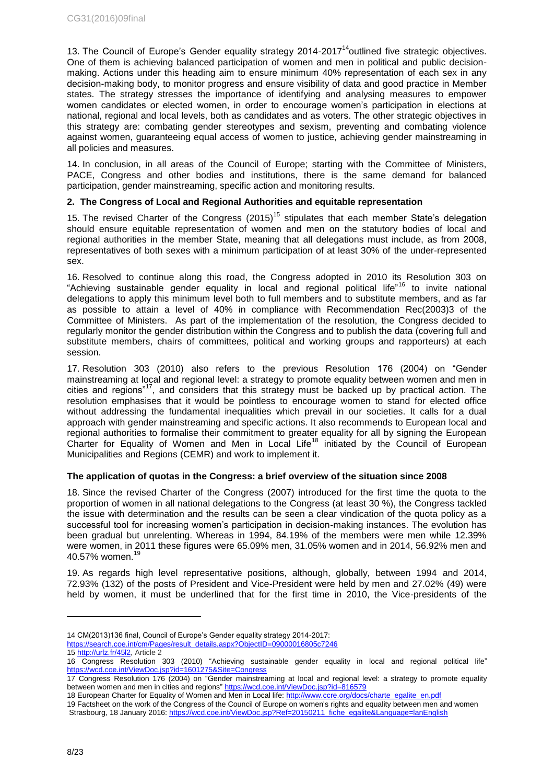13. The Council of Europe's Gender equality strategy  $2014 - 2017<sup>14</sup>$ outlined five strategic objectives. One of them is achieving balanced participation of women and men in political and public decisionmaking. Actions under this heading aim to ensure minimum 40% representation of each sex in any decision-making body, to monitor progress and ensure visibility of data and good practice in Member states. The strategy stresses the importance of identifying and analysing measures to empower women candidates or elected women, in order to encourage women's participation in elections at national, regional and local levels, both as candidates and as voters. The other strategic objectives in this strategy are: combating gender stereotypes and sexism, preventing and combating violence against women, guaranteeing equal access of women to justice, achieving gender mainstreaming in all policies and measures.

14. In conclusion, in all areas of the Council of Europe; starting with the Committee of Ministers, PACE, Congress and other bodies and institutions, there is the same demand for balanced participation, gender mainstreaming, specific action and monitoring results.

# <span id="page-7-0"></span>**2. The Congress of Local and Regional Authorities and equitable representation**

15. The revised Charter of the Congress (2015)<sup>15</sup> stipulates that each member State's delegation should ensure equitable representation of women and men on the statutory bodies of local and regional authorities in the member State, meaning that all delegations must include, as from 2008, representatives of both sexes with a minimum participation of at least 30% of the under-represented sex.

16. Resolved to continue along this road, the Congress adopted in 2010 its Resolution 303 on "Achieving sustainable gender equality in local and regional political life"<sup>16</sup> to invite national delegations to apply this minimum level both to full members and to substitute members, and as far as possible to attain a level of 40% in compliance with Recommendation Rec(2003)3 of the Committee of Ministers. As part of the implementation of the resolution, the Congress decided to regularly monitor the gender distribution within the Congress and to publish the data (covering full and substitute members, chairs of committees, political and working groups and rapporteurs) at each session.

17. Resolution 303 (2010) also refers to the previous Resolution 176 (2004) on "Gender mainstreaming at local and regional level: a strategy to promote equality between women and men in cities and regions"<sup>17</sup>, and considers that this strategy must be backed up by practical action. The resolution emphasises that it would be pointless to encourage women to stand for elected office without addressing the fundamental inequalities which prevail in our societies. It calls for a dual approach with gender mainstreaming and specific actions. It also recommends to European local and regional authorities to formalise their commitment to greater equality for all by signing the European Charter for Equality of Women and Men in Local Life<sup>18</sup> initiated by the Council of European Municipalities and Regions (CEMR) and work to implement it.

# <span id="page-7-1"></span>**The application of quotas in the Congress: a brief overview of the situation since 2008**

18. Since the revised Charter of the Congress (2007) introduced for the first time the quota to the proportion of women in all national delegations to the Congress (at least 30 %), the Congress tackled the issue with determination and the results can be seen a clear vindication of the quota policy as a successful tool for increasing women's participation in decision-making instances. The evolution has been gradual but unrelenting. Whereas in 1994, 84.19% of the members were men while 12.39% were women, in 2011 these figures were 65.09% men, 31.05% women and in 2014, 56.92% men and 40.57% women.<sup>1</sup>

19. As regards high level representative positions, although, globally, between 1994 and 2014, 72.93% (132) of the posts of President and Vice-President were held by men and 27.02% (49) were held by women, it must be underlined that for the first time in 2010, the Vice-presidents of the

<sup>14</sup> CM(2013)136 final, Council of Europe's Gender equality strategy 2014-2017: [https://search.coe.int/cm/Pages/result\\_details.aspx?ObjectID=09000016805c7246](https://search.coe.int/cm/Pages/result_details.aspx?ObjectID=09000016805c7246)

<sup>15</sup> [http://urlz.fr/45l2,](http://urlz.fr/45l2) Article 2

<sup>16</sup> Congress Resolution 303 (2010) "Achieving sustainable gender equality in local and regional political life" <https://wcd.coe.int/ViewDoc.jsp?id=1601275&Site=Congress>

<sup>17</sup> Congress Resolution 176 (2004) on "Gender mainstreaming at local and regional level: a strategy to promote equality between women and men in cities and regions" <https://wcd.coe.int/ViewDoc.jsp?id=816579>

<sup>18</sup> European Charter for Equality of Women and Men in Local life[: http://www.ccre.org/docs/charte\\_egalite\\_en.pdf](http://www.ccre.org/docs/charte_egalite_en.pdf)

<sup>19</sup> Factsheet on the work of the Congress of the Council of Europe on women's rights and equality between men and women Strasbourg, 18 January 2016: [https://wcd.coe.int/ViewDoc.jsp?Ref=20150211\\_fiche\\_egalite&Language=lanEnglish](https://wcd.coe.int/ViewDoc.jsp?Ref=20150211_fiche_egalite&Language=lanEnglish)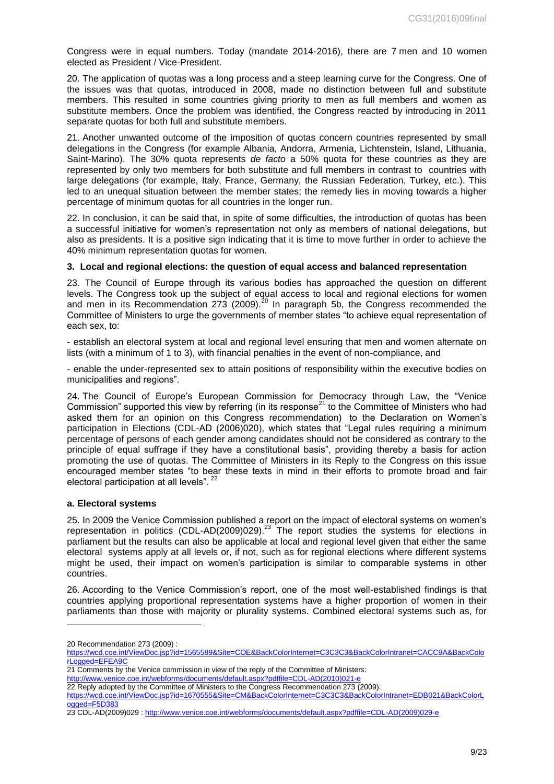Congress were in equal numbers. Today (mandate 2014-2016), there are 7 men and 10 women elected as President / Vice-President.

20. The application of quotas was a long process and a steep learning curve for the Congress. One of the issues was that quotas, introduced in 2008, made no distinction between full and substitute members. This resulted in some countries giving priority to men as full members and women as substitute members. Once the problem was identified, the Congress reacted by introducing in 2011 separate quotas for both full and substitute members.

21. Another unwanted outcome of the imposition of quotas concern countries represented by small delegations in the Congress (for example Albania, Andorra, Armenia, Lichtenstein, Island, Lithuania, Saint-Marino). The 30% quota represents *de facto* a 50% quota for these countries as they are represented by only two members for both substitute and full members in contrast to countries with large delegations (for example, Italy, France, Germany, the Russian Federation, Turkey, etc.). This led to an unequal situation between the member states; the remedy lies in moving towards a higher percentage of minimum quotas for all countries in the longer run.

22. In conclusion, it can be said that, in spite of some difficulties, the introduction of quotas has been a successful initiative for women's representation not only as members of national delegations, but also as presidents. It is a positive sign indicating that it is time to move further in order to achieve the 40% minimum representation quotas for women.

#### <span id="page-8-0"></span>**3. Local and regional elections: the question of equal access and balanced representation**

23. The Council of Europe through its various bodies has approached the question on different levels. The Congress took up the subject of equal access to local and regional elections for women and men in its Recommendation 273 (2009).<sup>20</sup> In paragraph 5b, the Congress recommended the Committee of Ministers to urge the governments of member states "to achieve equal representation of each sex, to:

- establish an electoral system at local and regional level ensuring that men and women alternate on lists (with a minimum of 1 to 3), with financial penalties in the event of non-compliance, and

- enable the under-represented sex to attain positions of responsibility within the executive bodies on municipalities and regions".

24. The Council of Europe's European Commission for Democracy through Law, the "Venice Commission" supported this view by referring (in its response<sup>21</sup> to the Committee of Ministers who had asked them for an opinion on this Congress recommendation) to the Declaration on Women's participation in Elections (CDL-AD (2006)020), which states that "Legal rules requiring a minimum percentage of persons of each gender among candidates should not be considered as contrary to the principle of equal suffrage if they have a constitutional basis", providing thereby a basis for action promoting the use of quotas. The Committee of Ministers in its Reply to the Congress on this issue encouraged member states "to bear these texts in mind in their efforts to promote broad and fair electoral participation at all levels".

#### <span id="page-8-1"></span>**a. Electoral systems**

25. In 2009 the Venice Commission published a report on the impact of electoral systems on women's representation in politics (CDL-AD(2009)029).<sup>23</sup> The report studies the systems for elections in parliament but the results can also be applicable at local and regional level given that either the same electoral systems apply at all levels or, if not, such as for regional elections where different systems might be used, their impact on women's participation is similar to comparable systems in other countries.

26. According to the Venice Commission's report, one of the most well-established findings is that countries applying proportional representation systems have a higher proportion of women in their parliaments than those with majority or plurality systems. Combined electoral systems such as, for

1

21 Comments by the Venice commission in view of the reply of the Committee of Ministers:

<sup>20</sup> Recommendation 273 (2009) :

[https://wcd.coe.int/ViewDoc.jsp?id=1565589&Site=COE&BackColorInternet=C3C3C3&BackColorIntranet=CACC9A&BackColo](https://wcd.coe.int/ViewDoc.jsp?id=1565589&Site=COE&BackColorInternet=C3C3C3&BackColorIntranet=CACC9A&BackColorLogged=EFEA9C) [rLogged=EFEA9C](https://wcd.coe.int/ViewDoc.jsp?id=1565589&Site=COE&BackColorInternet=C3C3C3&BackColorIntranet=CACC9A&BackColorLogged=EFEA9C)

[http://www.venice.coe.int/webforms/documents/default.aspx?pdffile=CDL-AD\(2010\)021-e](http://www.venice.coe.int/webforms/documents/default.aspx?pdffile=CDL-AD(2010)021-e) 

<sup>22</sup> Reply adopted by the Committee of Ministers to the Congress Recommendation 273 (2009):

[https://wcd.coe.int/ViewDoc.jsp?id=1670555&Site=CM&BackColorInternet=C3C3C3&BackColorIntranet=EDB021&BackColorL](https://wcd.coe.int/ViewDoc.jsp?id=1670555&Site=CM&BackColorInternet=C3C3C3&BackColorIntranet=EDB021&BackColorLogged=F5D383) [ogged=F5D383](https://wcd.coe.int/ViewDoc.jsp?id=1670555&Site=CM&BackColorInternet=C3C3C3&BackColorIntranet=EDB021&BackColorLogged=F5D383)

<sup>23</sup> CDL-AD(2009)029 : [http://www.venice.coe.int/webforms/documents/default.aspx?pdffile=CDL-AD\(2009\)029-e](http://www.venice.coe.int/webforms/documents/default.aspx?pdffile=CDL-AD(2009)029-e)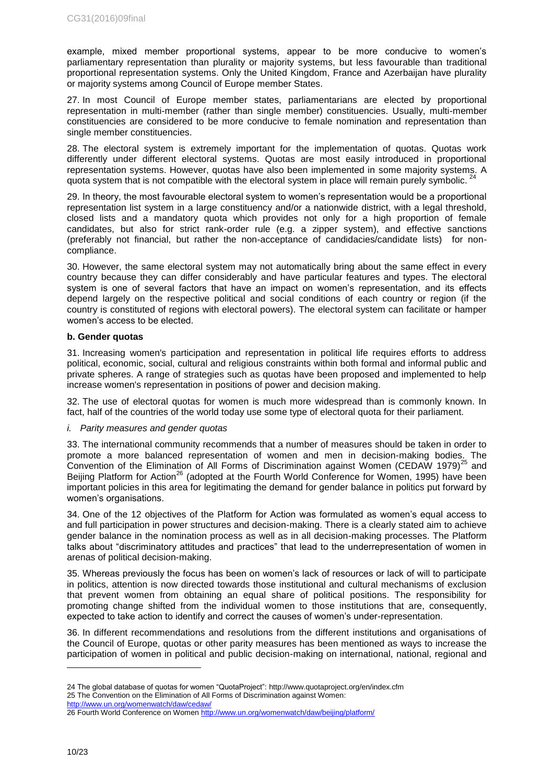example, mixed member proportional systems, appear to be more conducive to women's parliamentary representation than plurality or majority systems, but less favourable than traditional proportional representation systems. Only the United Kingdom, France and Azerbaijan have plurality or majority systems among Council of Europe member States.

27. In most Council of Europe member states, parliamentarians are elected by proportional representation in multi-member (rather than single member) constituencies. Usually, multi-member constituencies are considered to be more conducive to female nomination and representation than single member constituencies.

28. The electoral system is extremely important for the implementation of quotas. Quotas work differently under different electoral systems. Quotas are most easily introduced in proportional representation systems. However, quotas have also been implemented in some majority systems. A quota system that is not compatible with the electoral system in place will remain purely symbolic.  $^{24}$ 

29. In theory, the most favourable electoral system to women's representation would be a proportional representation list system in a large constituency and/or a nationwide district, with a legal threshold, closed lists and a mandatory quota which provides not only for a high proportion of female candidates, but also for strict rank-order rule (e.g. a zipper system), and effective sanctions (preferably not financial, but rather the non-acceptance of candidacies/candidate lists) for noncompliance.

30. However, the same electoral system may not automatically bring about the same effect in every country because they can differ considerably and have particular features and types. The electoral system is one of several factors that have an impact on women's representation, and its effects depend largely on the respective political and social conditions of each country or region (if the country is constituted of regions with electoral powers). The electoral system can facilitate or hamper women's access to be elected.

#### <span id="page-9-0"></span>**b. Gender quotas**

31. Increasing women's participation and representation in political life requires efforts to address political, economic, social, cultural and religious constraints within both formal and informal public and private spheres. A range of strategies such as quotas have been proposed and implemented to help increase women's representation in positions of power and decision making.

32. The use of electoral quotas for women is much more widespread than is commonly known. In fact, half of the countries of the world today use some type of electoral quota for their parliament.

#### *i. Parity measures and gender quotas*

33. The international community recommends that a number of measures should be taken in order to promote a more balanced representation of women and men in decision-making bodies. The Convention of the Elimination of All Forms of Discrimination against Women (CEDAW 1979)<sup>25</sup> and Beijing Platform for Action<sup>26</sup> (adopted at the Fourth World Conference for Women, 1995) have been important policies in this area for legitimating the demand for gender balance in politics put forward by women's organisations.

34. One of the 12 objectives of the Platform for Action was formulated as women's equal access to and full participation in power structures and decision-making. There is a clearly stated aim to achieve gender balance in the nomination process as well as in all decision-making processes. The Platform talks about "discriminatory attitudes and practices" that lead to the underrepresentation of women in arenas of political decision-making.

35. Whereas previously the focus has been on women's lack of resources or lack of will to participate in politics, attention is now directed towards those institutional and cultural mechanisms of exclusion that prevent women from obtaining an equal share of political positions. The responsibility for promoting change shifted from the individual women to those institutions that are, consequently, expected to take action to identify and correct the causes of women's under-representation.

36. In different recommendations and resolutions from the different institutions and organisations of the Council of Europe, quotas or other parity measures has been mentioned as ways to increase the participation of women in political and public decision-making on international, national, regional and

<sup>24</sup> The global database of quotas for women "QuotaProject": http://www.quotaproject.org/en/index.cfm 25 The Convention on the Elimination of All Forms of Discrimination against Women:

<http://www.un.org/womenwatch/daw/cedaw/>

<sup>26</sup> Fourth World Conference on Women<http://www.un.org/womenwatch/daw/beijing/platform/>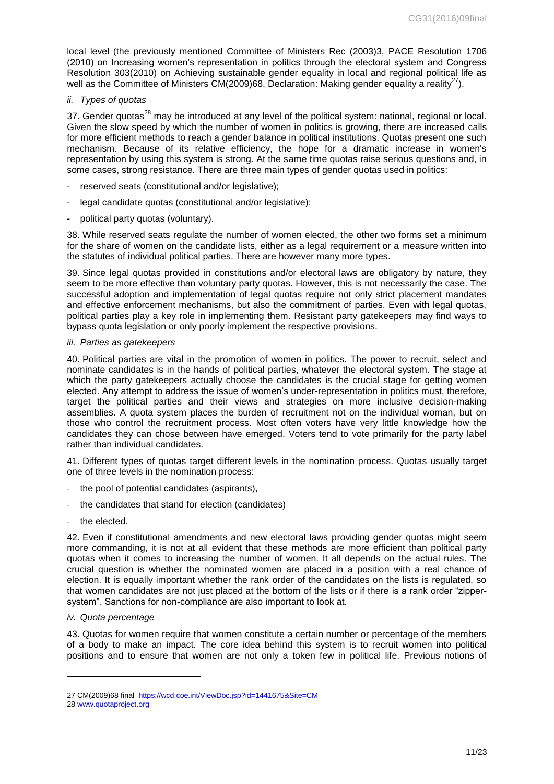local level (the previously mentioned Committee of Ministers Rec (2003)3, PACE Resolution 1706 (2010) on Increasing women's representation in politics through the electoral system and Congress Resolution 303(2010) on Achieving sustainable gender equality in local and regional political life as well as the Committee of Ministers CM(2009)68, Declaration: Making gender equality a reality<sup>27</sup>).

# *ii. Types of quotas*

37. Gender quotas<sup>28</sup> may be introduced at any level of the political system: national, regional or local. Given the slow speed by which the number of women in politics is growing, there are increased calls for more efficient methods to reach a gender balance in political institutions. Quotas present one such mechanism. Because of its relative efficiency, the hope for a dramatic increase in women's representation by using this system is strong. At the same time quotas raise serious questions and, in some cases, strong resistance. There are three main types of gender quotas used in politics:

- reserved seats (constitutional and/or legislative);
- legal candidate quotas (constitutional and/or legislative);
- political party quotas (voluntary).

38. While reserved seats regulate the number of women elected, the other two forms set a minimum for the share of women on the candidate lists, either as a legal requirement or a measure written into the statutes of individual political parties. There are however many more types.

39. Since legal quotas provided in constitutions and/or electoral laws are obligatory by nature, they seem to be more effective than voluntary party quotas. However, this is not necessarily the case. The successful adoption and implementation of legal quotas require not only strict placement mandates and effective enforcement mechanisms, but also the commitment of parties. Even with legal quotas, political parties play a key role in implementing them. Resistant party gatekeepers may find ways to bypass quota legislation or only poorly implement the respective provisions.

#### *iii. Parties as gatekeepers*

40. Political parties are vital in the promotion of women in politics. The power to recruit, select and nominate candidates is in the hands of political parties, whatever the electoral system. The stage at which the party gatekeepers actually choose the candidates is the crucial stage for getting women elected. Any attempt to address the issue of women's under-representation in politics must, therefore, target the political parties and their views and strategies on more inclusive decision-making assemblies. A quota system places the burden of recruitment not on the individual woman, but on those who control the recruitment process. Most often voters have very little knowledge how the candidates they can chose between have emerged. Voters tend to vote primarily for the party label rather than individual candidates.

41. Different types of quotas target different levels in the nomination process. Quotas usually target one of three levels in the nomination process:

- the pool of potential candidates (aspirants),
- the candidates that stand for election (candidates)
- the elected.

42. Even if constitutional amendments and new electoral laws providing gender quotas might seem more commanding, it is not at all evident that these methods are more efficient than political party quotas when it comes to increasing the number of women. It all depends on the actual rules. The crucial question is whether the nominated women are placed in a position with a real chance of election. It is equally important whether the rank order of the candidates on the lists is regulated, so that women candidates are not just placed at the bottom of the lists or if there is a rank order "zippersystem". Sanctions for non-compliance are also important to look at.

## *iv. Quota percentage*

43. Quotas for women require that women constitute a certain number or percentage of the members of a body to make an impact. The core idea behind this system is to recruit women into political positions and to ensure that women are not only a token few in political life. Previous notions of

<sup>27</sup> CM(2009)68 final <https://wcd.coe.int/ViewDoc.jsp?id=1441675&Site=CM>

<sup>28</sup> [www.quotaproject.org](http://www.quotaproject.org/)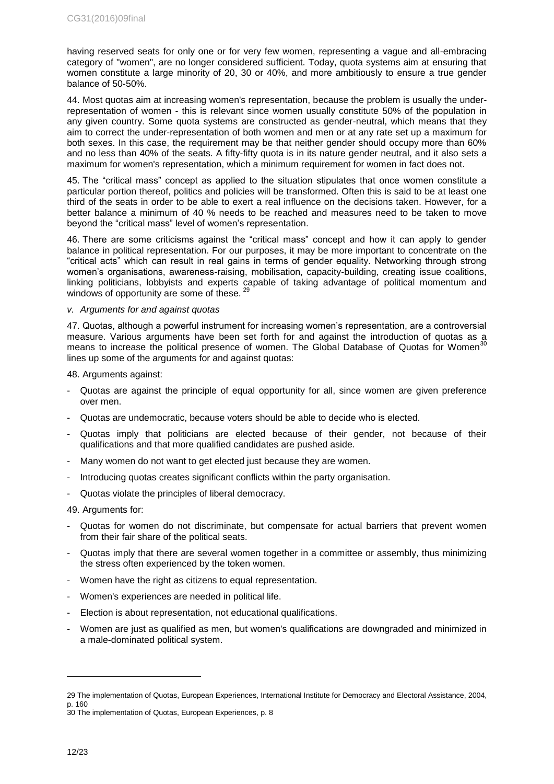having reserved seats for only one or for very few women, representing a vague and all-embracing category of "women", are no longer considered sufficient. Today, quota systems aim at ensuring that women constitute a large minority of 20, 30 or 40%, and more ambitiously to ensure a true gender balance of 50-50%.

44. Most quotas aim at increasing women's representation, because the problem is usually the underrepresentation of women - this is relevant since women usually constitute 50% of the population in any given country. Some quota systems are constructed as gender-neutral, which means that they aim to correct the under-representation of both women and men or at any rate set up a maximum for both sexes. In this case, the requirement may be that neither gender should occupy more than 60% and no less than 40% of the seats. A fifty-fifty quota is in its nature gender neutral, and it also sets a maximum for women's representation, which a minimum requirement for women in fact does not.

45. The "critical mass" concept as applied to the situation stipulates that once women constitute a particular portion thereof, politics and policies will be transformed. Often this is said to be at least one third of the seats in order to be able to exert a real influence on the decisions taken. However, for a better balance a minimum of 40 % needs to be reached and measures need to be taken to move beyond the "critical mass" level of women's representation.

46. There are some criticisms against the "critical mass" concept and how it can apply to gender balance in political representation. For our purposes, it may be more important to concentrate on the "critical acts" which can result in real gains in terms of gender equality. Networking through strong women's organisations, awareness-raising, mobilisation, capacity-building, creating issue coalitions, linking politicians, lobbyists and experts capable of taking advantage of political momentum and windows of opportunity are some of these.  $2^{\frac{9}{2}}$ 

## *v. Arguments for and against quotas*

47. Quotas, although a powerful instrument for increasing women's representation, are a controversial AT. Quotas, although a powerful measure. Set forth for and against the introduction of quotas as a measure. Various arguments have been set forth for and against the introduction of quotas as a means to increase the political presence of women. The Global Database of Quotas for Women<sup>3</sup> lines up some of the arguments for and against quotas:

48. Arguments against:

- Quotas are against the principle of equal opportunity for all, since women are given preference over men.
- Quotas are undemocratic, because voters should be able to decide who is elected.
- Quotas imply that politicians are elected because of their gender, not because of their qualifications and that more qualified candidates are pushed aside.
- Many women do not want to get elected just because they are women.
- Introducing quotas creates significant conflicts within the party organisation.
- Quotas violate the principles of liberal democracy.

49. Arguments for:

- Quotas for women do not discriminate, but compensate for actual barriers that prevent women from their fair share of the political seats.
- Quotas imply that there are several women together in a committee or assembly, thus minimizing the stress often experienced by the token women.
- Women have the right as citizens to equal representation.
- Women's experiences are needed in political life.
- Election is about representation, not educational qualifications.
- Women are just as qualified as men, but women's qualifications are downgraded and minimized in a male-dominated political system.

<sup>29</sup> The implementation of Quotas, European Experiences, International Institute for Democracy and Electoral Assistance, 2004, p. 160

<sup>30</sup> The implementation of Quotas, European Experiences, p. 8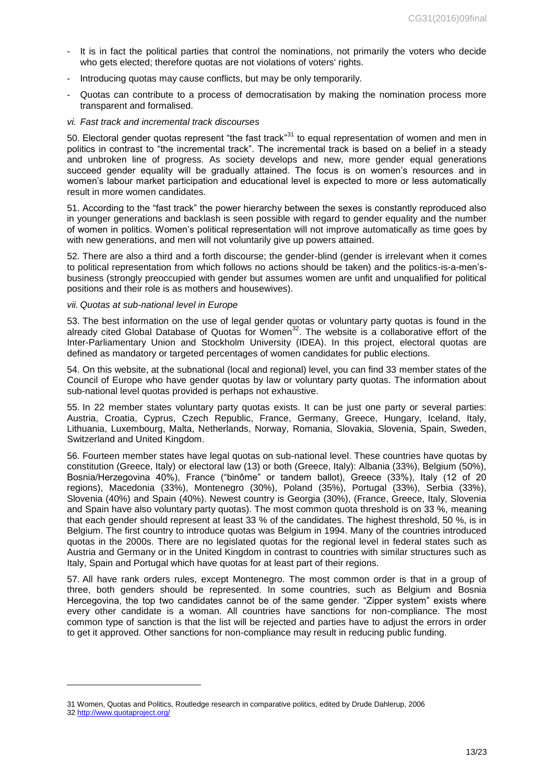- It is in fact the political parties that control the nominations, not primarily the voters who decide who gets elected; therefore quotas are not violations of voters' rights.
- Introducing quotas may cause conflicts, but may be only temporarily.
- Quotas can contribute to a process of democratisation by making the nomination process more transparent and formalised.
- *vi. Fast track and incremental track discourses*

50. Electoral gender quotas represent "the fast track"<sup>31</sup> to equal representation of women and men in politics in contrast to "the incremental track". The incremental track is based on a belief in a steady and unbroken line of progress. As society develops and new, more gender equal generations succeed gender equality will be gradually attained. The focus is on women's resources and in women's labour market participation and educational level is expected to more or less automatically result in more women candidates.

51. According to the "fast track" the power hierarchy between the sexes is constantly reproduced also in younger generations and backlash is seen possible with regard to gender equality and the number of women in politics. Women's political representation will not improve automatically as time goes by with new generations, and men will not voluntarily give up powers attained.

52. There are also a third and a forth discourse; the gender-blind (gender is irrelevant when it comes to political representation from which follows no actions should be taken) and the politics-is-a-men'sbusiness (strongly preoccupied with gender but assumes women are unfit and unqualified for political positions and their role is as mothers and housewives).

#### *vii. Quotas at sub-national level in Europe*

53. The best information on the use of legal gender quotas or voluntary party quotas is found in the already cited Global Database of Quotas for Women<sup>32</sup>. The website is a collaborative effort of the Inter-Parliamentary Union and Stockholm University (IDEA). In this project, electoral quotas are defined as mandatory or targeted percentages of women candidates for public elections.

54. On this website, at the subnational (local and regional) level, you can find 33 member states of the Council of Europe who have gender quotas by law or voluntary party quotas. The information about sub-national level quotas provided is perhaps not exhaustive.

55. In 22 member states voluntary party quotas exists. It can be just one party or several parties: Austria, Croatia, Cyprus, Czech Republic, France, Germany, Greece, Hungary, Iceland, Italy, Lithuania, Luxembourg, Malta, Netherlands, Norway, Romania, Slovakia, Slovenia, Spain, Sweden, Switzerland and United Kingdom.

56. Fourteen member states have legal quotas on sub-national level. These countries have quotas by constitution (Greece, Italy) or electoral law (13) or both (Greece, Italy): Albania (33%), Belgium (50%), Bosnia/Herzegovina 40%), France ("binôme" or tandem ballot), Greece (33%), Italy (12 of 20 regions), Macedonia (33%), Montenegro (30%), Poland (35%), Portugal (33%), Serbia (33%), Slovenia (40%) and Spain (40%). Newest country is Georgia (30%), (France, Greece, Italy, Slovenia and Spain have also voluntary party quotas). The most common quota threshold is on 33 %, meaning that each gender should represent at least 33 % of the candidates. The highest threshold, 50 %, is in Belgium. The first country to introduce quotas was Belgium in 1994. Many of the countries introduced quotas in the 2000s. There are no legislated quotas for the regional level in federal states such as Austria and Germany or in the United Kingdom in contrast to countries with similar structures such as Italy, Spain and Portugal which have quotas for at least part of their regions.

57. All have rank orders rules, except Montenegro. The most common order is that in a group of three, both genders should be represented. In some countries, such as Belgium and Bosnia Hercegovina, the top two candidates cannot be of the same gender. "Zipper system" exists where every other candidate is a woman. All countries have sanctions for non-compliance. The most common type of sanction is that the list will be rejected and parties have to adjust the errors in order to get it approved. Other sanctions for non-compliance may result in reducing public funding.

<sup>31</sup> Women, Quotas and Politics, Routledge research in comparative politics, edited by Drude Dahlerup, 2006

<sup>32</sup> <http://www.quotaproject.org/>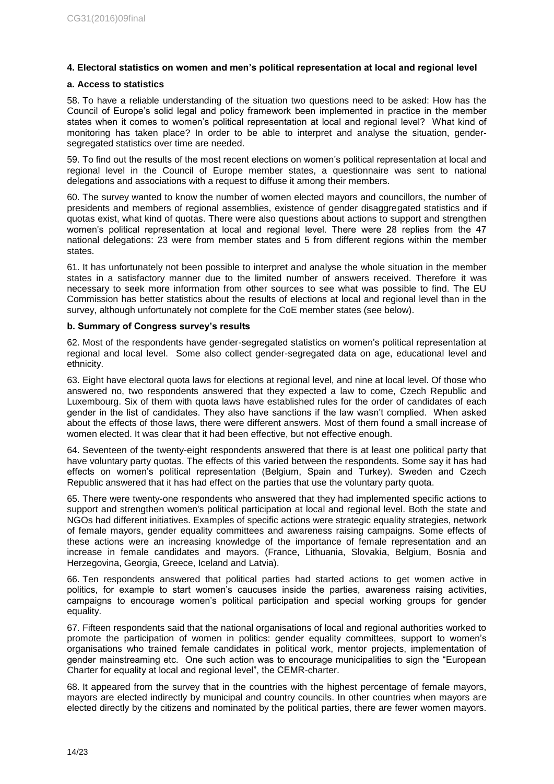# <span id="page-13-0"></span>**4. Electoral statistics on women and men's political representation at local and regional level**

# <span id="page-13-1"></span>**a. Access to statistics**

58. To have a reliable understanding of the situation two questions need to be asked: How has the Council of Europe's solid legal and policy framework been implemented in practice in the member states when it comes to women's political representation at local and regional level? What kind of monitoring has taken place? In order to be able to interpret and analyse the situation, gendersegregated statistics over time are needed.

59. To find out the results of the most recent elections on women's political representation at local and regional level in the Council of Europe member states, a questionnaire was sent to national delegations and associations with a request to diffuse it among their members.

60. The survey wanted to know the number of women elected mayors and councillors, the number of presidents and members of regional assemblies, existence of gender disaggregated statistics and if quotas exist, what kind of quotas. There were also questions about actions to support and strengthen women's political representation at local and regional level. There were 28 replies from the 47 national delegations: 23 were from member states and 5 from different regions within the member states.

61. It has unfortunately not been possible to interpret and analyse the whole situation in the member states in a satisfactory manner due to the limited number of answers received. Therefore it was necessary to seek more information from other sources to see what was possible to find. The EU Commission has better statistics about the results of elections at local and regional level than in the survey, although unfortunately not complete for the CoE member states (see below).

#### <span id="page-13-2"></span>**b. Summary of Congress survey's results**

62. Most of the respondents have gender-segregated statistics on women's political representation at regional and local level. Some also collect gender-segregated data on age, educational level and ethnicity.

63. Eight have electoral quota laws for elections at regional level, and nine at local level. Of those who answered no, two respondents answered that they expected a law to come, Czech Republic and Luxembourg. Six of them with quota laws have established rules for the order of candidates of each gender in the list of candidates. They also have sanctions if the law wasn't complied. When asked about the effects of those laws, there were different answers. Most of them found a small increase of women elected. It was clear that it had been effective, but not effective enough.

64. Seventeen of the twenty-eight respondents answered that there is at least one political party that have voluntary party quotas. The effects of this varied between the respondents. Some say it has had effects on women's political representation (Belgium, Spain and Turkey). Sweden and Czech Republic answered that it has had effect on the parties that use the voluntary party quota.

65. There were twenty-one respondents who answered that they had implemented specific actions to support and strengthen women's political participation at local and regional level. Both the state and NGOs had different initiatives. Examples of specific actions were strategic equality strategies, network of female mayors, gender equality committees and awareness raising campaigns. Some effects of these actions were an increasing knowledge of the importance of female representation and an increase in female candidates and mayors. (France, Lithuania, Slovakia, Belgium, Bosnia and Herzegovina, Georgia, Greece, Iceland and Latvia).

66. Ten respondents answered that political parties had started actions to get women active in politics, for example to start women's caucuses inside the parties, awareness raising activities, campaigns to encourage women's political participation and special working groups for gender equality.

67. Fifteen respondents said that the national organisations of local and regional authorities worked to promote the participation of women in politics: gender equality committees, support to women's organisations who trained female candidates in political work, mentor projects, implementation of gender mainstreaming etc. One such action was to encourage municipalities to sign the "European Charter for equality at local and regional level", the CEMR-charter.

68. It appeared from the survey that in the countries with the highest percentage of female mayors, mayors are elected indirectly by municipal and country councils. In other countries when mayors are elected directly by the citizens and nominated by the political parties, there are fewer women mayors.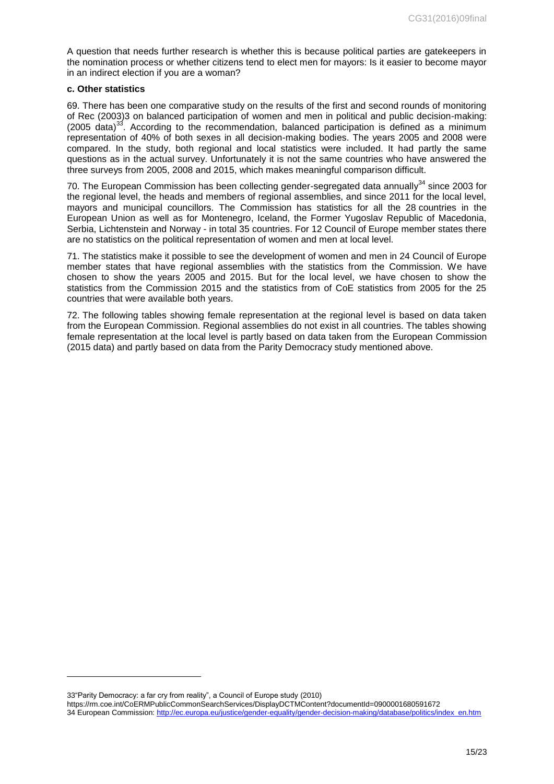A question that needs further research is whether this is because political parties are gatekeepers in the nomination process or whether citizens tend to elect men for mayors: Is it easier to become mayor in an indirect election if you are a woman?

#### <span id="page-14-0"></span>**c. Other statistics**

69. There has been one comparative study on the results of the first and second rounds of monitoring of Rec (2003)3 on balanced participation of women and men in political and public decision-making:  $(2005 \text{ data})^{33}$ . According to the recommendation, balanced participation is defined as a minimum representation of 40% of both sexes in all decision-making bodies. The years 2005 and 2008 were compared. In the study, both regional and local statistics were included. It had partly the same questions as in the actual survey. Unfortunately it is not the same countries who have answered the three surveys from 2005, 2008 and 2015, which makes meaningful comparison difficult.

70. The European Commission has been collecting gender-segregated data annually $34$  since 2003 for the regional level, the heads and members of regional assemblies, and since 2011 for the local level, mayors and municipal councillors. The Commission has statistics for all the 28 countries in the European Union as well as for Montenegro, Iceland, the Former Yugoslav Republic of Macedonia, Serbia, Lichtenstein and Norway - in total 35 countries. For 12 Council of Europe member states there are no statistics on the political representation of women and men at local level.

71. The statistics make it possible to see the development of women and men in 24 Council of Europe member states that have regional assemblies with the statistics from the Commission. We have chosen to show the years 2005 and 2015. But for the local level, we have chosen to show the statistics from the Commission 2015 and the statistics from of CoE statistics from 2005 for the 25 countries that were available both years.

72. The following tables showing female representation at the regional level is based on data taken from the European Commission. Regional assemblies do not exist in all countries. The tables showing female representation at the local level is partly based on data taken from the European Commission (2015 data) and partly based on data from the Parity Democracy study mentioned above.

33"Parity Democracy: a far cry from reality", a Council of Europe study (2010)

-

https://rm.coe.int/CoERMPublicCommonSearchServices/DisplayDCTMContent?documentId=0900001680591672 34 European Commission[: http://ec.europa.eu/justice/gender-equality/gender-decision-making/database/politics/index\\_en.htm](http://ec.europa.eu/justice/gender-equality/gender-decision-making/database/politics/index_en.htm)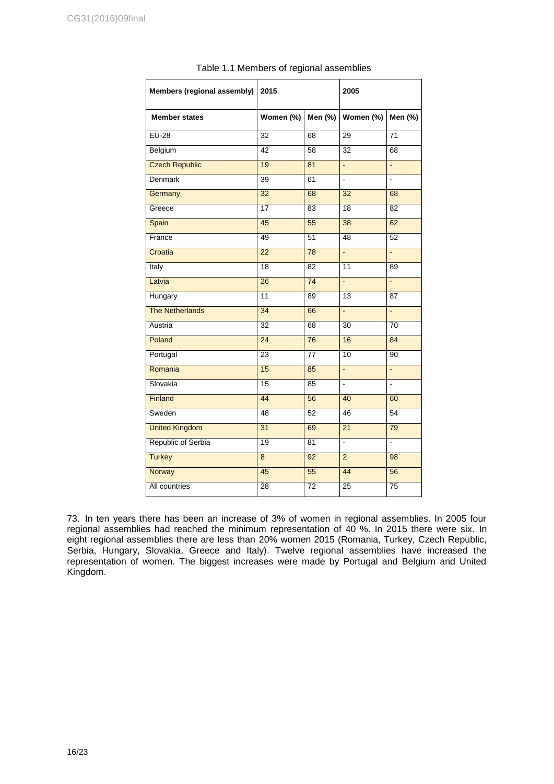| Members (regional assembly) | 2015            |                 | 2005                     |                 |
|-----------------------------|-----------------|-----------------|--------------------------|-----------------|
| <b>Member states</b>        | Women (%)       | Men (%)         | Women (%)                | Men (%)         |
| $EU-28$                     | $\overline{32}$ | 68              | 29                       | $\overline{71}$ |
| Belgium                     | $\overline{42}$ | 58              | $\overline{32}$          | 68              |
| <b>Czech Republic</b>       | 19              | 81              | $\omega$                 | $\omega$        |
| <b>Denmark</b>              | $\overline{39}$ | 61              | $\overline{a}$           | $\overline{a}$  |
| Germany                     | 32              | 68              | 32                       | 68              |
| Greece                      | 17              | 83              | $\overline{18}$          | $\overline{82}$ |
| Spain                       | 45              | 55              | 38                       | 62              |
| France                      | 49              | 51              | 48                       | 52              |
| Croatia                     | $\overline{22}$ | 78              | ä,                       | ä,              |
| Italy                       | $\overline{18}$ | 82              | 11                       | 89              |
| Latvia                      | 26              | 74              | ä,                       | $\Box$          |
| Hungary                     | $\overline{11}$ | 89              | $\overline{13}$          | $\overline{87}$ |
| <b>The Netherlands</b>      | $\overline{34}$ | 66              | $\omega$                 | ÷,              |
| Austria                     | 32              | 68              | 30                       | 70              |
| Poland                      | $\overline{24}$ | 76              | 16                       | 84              |
| Portugal                    | 23              | 77              | $\overline{10}$          | 90              |
| Romania                     | 15              | 85              | L.                       | L.              |
| Slovakia                    | 15              | 85              | $\overline{\phantom{a}}$ | ä,              |
| Finland                     | 44              | 56              | 40                       | 60              |
| Sweden                      | 48              | $\overline{52}$ | 46                       | $\overline{54}$ |
| <b>United Kingdom</b>       | 31              | 69              | $\overline{21}$          | 79              |
| Republic of Serbia          | 19              | 81              | $\overline{\phantom{a}}$ | ÷.              |
| <b>Turkey</b>               | $\overline{8}$  | 92              | $\overline{2}$           | 98              |
| Norway                      | 45              | 55              | 44                       | 56              |
| All countries               | 28              | 72              | $\overline{25}$          | 75              |

| Table 1.1 Members of regional assemblies |  |
|------------------------------------------|--|
|------------------------------------------|--|

73. In ten years there has been an increase of 3% of women in regional assemblies. In 2005 four regional assemblies had reached the minimum representation of 40 %. In 2015 there were six. In eight regional assemblies there are less than 20% women 2015 (Romania, Turkey, Czech Republic, Serbia, Hungary, Slovakia, Greece and Italy). Twelve regional assemblies have increased the representation of women. The biggest increases were made by Portugal and Belgium and United Kingdom.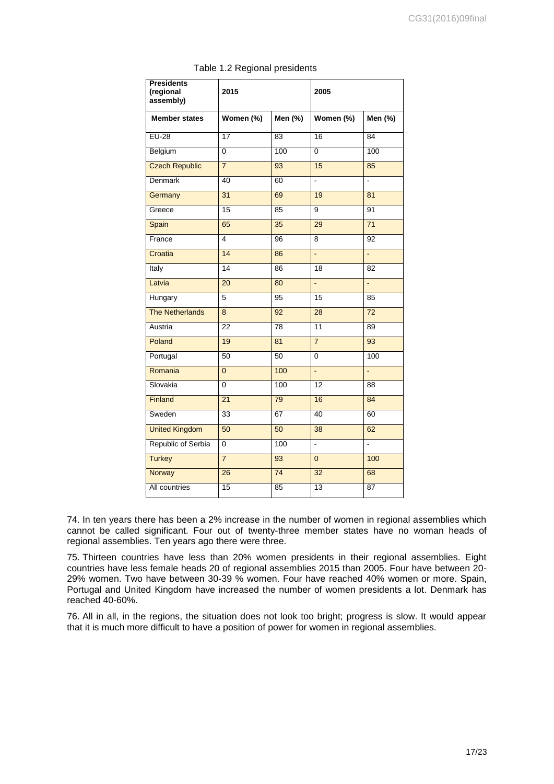| <b>Presidents</b><br>(regional<br>assembly) | 2015            |                 | 2005                     |                 |
|---------------------------------------------|-----------------|-----------------|--------------------------|-----------------|
| <b>Member states</b>                        | Women (%)       | Men (%)         | Women (%)                | Men (%)         |
| $EU-28$                                     | 17              | 83              | 16                       | 84              |
| Belgium                                     | 0               | 100             | $\overline{0}$           | 100             |
| <b>Czech Republic</b>                       | $\overline{7}$  | 93              | 15                       | 85              |
| <b>Denmark</b>                              | 40              | 60              | $\overline{a}$           | ÷.              |
| Germany                                     | 31              | 69              | 19                       | $\overline{81}$ |
| Greece                                      | 15              | 85              | 9                        | 91              |
| Spain                                       | 65              | 35              | 29                       | $\overline{71}$ |
| France                                      | $\overline{4}$  | 96              | 8                        | 92              |
| Croatia                                     | 14              | 86              | $\Box$                   | ä,              |
| Italy                                       | 14              | 86              | $\overline{18}$          | 82              |
| Latvia                                      | 20              | 80              | L.                       | ä,              |
| Hungary                                     | 5               | 95              | 15                       | 85              |
| <b>The Netherlands</b>                      | 8               | 92              | $\overline{28}$          | 72              |
| Austria                                     | 22              | 78              | $\overline{11}$          | 89              |
| Poland                                      | 19              | 81              | $\overline{7}$           | 93              |
| Portugal                                    | $\overline{50}$ | $\overline{50}$ | $\overline{0}$           | 100             |
| Romania                                     | $\overline{0}$  | 100             | $\frac{1}{2}$            | L,              |
| Slovakia                                    | $\Omega$        | 100             | 12                       | 88              |
| Finland                                     | $\overline{21}$ | 79              | 16                       | 84              |
| Sweden                                      | $\overline{33}$ | 67              | 40                       | 60              |
| <b>United Kingdom</b>                       | 50              | 50              | $\overline{38}$          | 62              |
| Republic of Serbia                          | 0               | 100             | $\overline{\phantom{a}}$ | ä,              |
| <b>Turkey</b>                               | $\overline{7}$  | 93              | $\overline{0}$           | 100             |
| Norway                                      | $\overline{26}$ | $\overline{74}$ | $\overline{32}$          | 68              |
| All countries                               | $\overline{15}$ | 85              | $\overline{13}$          | $\overline{87}$ |

Table 1.2 Regional presidents

74. In ten years there has been a 2% increase in the number of women in regional assemblies which cannot be called significant. Four out of twenty-three member states have no woman heads of regional assemblies. Ten years ago there were three.

75. Thirteen countries have less than 20% women presidents in their regional assemblies. Eight countries have less female heads 20 of regional assemblies 2015 than 2005. Four have between 20- 29% women. Two have between 30-39 % women. Four have reached 40% women or more. Spain, Portugal and United Kingdom have increased the number of women presidents a lot. Denmark has reached 40-60%.

76. All in all, in the regions, the situation does not look too bright; progress is slow. It would appear that it is much more difficult to have a position of power for women in regional assemblies.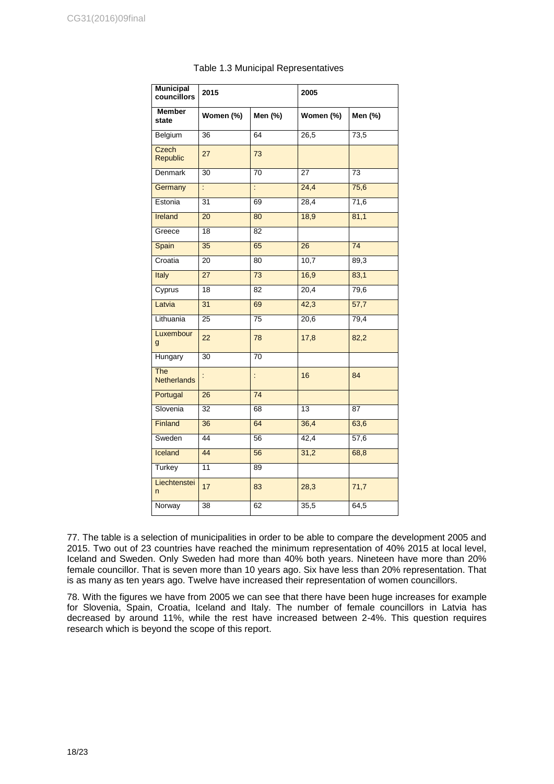| <b>Municipal</b><br>councillors  | 2015            |                 | 2005            |                   |
|----------------------------------|-----------------|-----------------|-----------------|-------------------|
| <b>Member</b><br>state           | Women (%)       | Men (%)         | Women (%)       | Men (%)           |
| <b>Belgium</b>                   | 36              | 64              | 26,5            | 73,5              |
| Czech<br>Republic                | 27              | 73              |                 |                   |
| Denmark                          | 30              | 70              | 27              | 73                |
| Germany                          | ċ,              | ÷               | 24,4            | 75,6              |
| Estonia                          | 31              | 69              | 28,4            | 71,6              |
| Ireland                          | $\overline{20}$ | 80              | 18,9            | 81,1              |
| Greece                           | $\overline{18}$ | 82              |                 |                   |
| Spain                            | 35              | 65              | 26              | 74                |
| Croatia                          | $\overline{20}$ | $\overline{80}$ | 10,7            | 89,3              |
| Italy                            | 27              | 73              | 16,9            | 83,1              |
| Cyprus                           | 18              | 82              | 20,4            | 79,6              |
| Latvia                           | 31              | 69              | 42,3            | $\overline{57,7}$ |
| Lithuania                        | 25              | 75              | 20,6            | 79,4              |
| Luxembour<br>g                   | 22              | 78              | 17,8            | 82,2              |
| Hungary                          | 30              | 70              |                 |                   |
| <b>The</b><br><b>Netherlands</b> |                 | t               | 16              | 84                |
| Portugal                         | 26              | $\overline{74}$ |                 |                   |
| Slovenia                         | 32              | 68              | $\overline{13}$ | 87                |
| Finland                          | 36              | 64              | 36,4            | 63,6              |
| Sweden                           | 44              | $\overline{56}$ | 42,4            | 57,6              |
| Iceland                          | 44              | 56              | 31,2            | 68,8              |
| Turkey                           | 11              | 89              |                 |                   |
| Liechtenstei<br>n                | 17              | 83              | 28,3            | 71,7              |
| Norway                           | 38              | 62              | 35,5            | 64,5              |

# Table 1.3 Municipal Representatives

77. The table is a selection of municipalities in order to be able to compare the development 2005 and 2015. Two out of 23 countries have reached the minimum representation of 40% 2015 at local level, Iceland and Sweden. Only Sweden had more than 40% both years. Nineteen have more than 20% female councillor. That is seven more than 10 years ago. Six have less than 20% representation. That is as many as ten years ago. Twelve have increased their representation of women councillors.

78. With the figures we have from 2005 we can see that there have been huge increases for example for Slovenia, Spain, Croatia, Iceland and Italy. The number of female councillors in Latvia has decreased by around 11%, while the rest have increased between 2-4%. This question requires research which is beyond the scope of this report.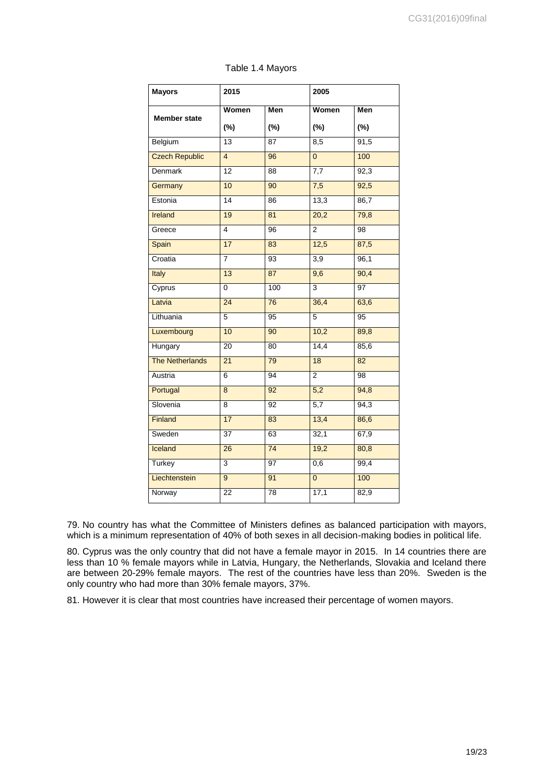| <b>Mayors</b>          | 2015            |                 | 2005             |                   |
|------------------------|-----------------|-----------------|------------------|-------------------|
| <b>Member state</b>    | Women           | Men             | Women            | Men               |
|                        | $(\%)$          | (%)             | (%)              | (%)               |
| Belgium                | $\overline{13}$ | 87              | 8,5              | 91,5              |
| <b>Czech Republic</b>  | $\overline{4}$  | 96              | $\overline{0}$   | 100               |
| Denmark                | $\overline{12}$ | 88              | 7,7              | 92,3              |
| Germany                | 10              | 90              | 7,5              | 92,5              |
| Estonia                | 14              | 86              | 13,3             | 86,7              |
| Ireland                | 19              | 81              | 20,2             | 79,8              |
| Greece                 | $\overline{4}$  | 96              | $\overline{2}$   | 98                |
| Spain                  | 17              | 83              | 12,5             | 87,5              |
| Croatia                | $\overline{7}$  | $\overline{93}$ | 3,9              | 96,1              |
| Italy                  | 13              | 87              | $\overline{9,6}$ | 90,4              |
| Cyprus                 | 0               | 100             | $\overline{3}$   | $\overline{97}$   |
| Latvia                 | 24              | $\overline{76}$ | 36,4             | 63,6              |
| Lithuania              | $\overline{5}$  | $\overline{95}$ | $\overline{5}$   | 95                |
| Luxembourg             | 10              | 90              | 10,2             | 89,8              |
| Hungary                | $\overline{20}$ | 80              | 14,4             | 85,6              |
| <b>The Netherlands</b> | $\overline{21}$ | 79              | 18               | 82                |
| Austria                | $\overline{6}$  | 94              | $\overline{2}$   | 98                |
| Portugal               | $\overline{8}$  | 92              | 5,2              | 94,8              |
| Slovenia               | 8               | 92              | 5,7              | $\overline{94,3}$ |
| Finland                | 17              | 83              | 13,4             | 86,6              |
| Sweden                 | $\overline{37}$ | 63              | 32,1             | 67,9              |
| Iceland                | 26              | $\overline{74}$ | 19,2             | 80,8              |
| Turkey                 | $\overline{3}$  | 97              | 0,6              | 99,4              |
| Liechtenstein          | $\overline{9}$  | 91              | $\overline{0}$   | 100               |
| Norway                 | $\overline{22}$ | $\overline{78}$ | 17,1             | 82,9              |

79. No country has what the Committee of Ministers defines as balanced participation with mayors, which is a minimum representation of 40% of both sexes in all decision-making bodies in political life.

80. Cyprus was the only country that did not have a female mayor in 2015. In 14 countries there are less than 10 % female mayors while in Latvia, Hungary, the Netherlands, Slovakia and Iceland there are between 20-29% female mayors. The rest of the countries have less than 20%. Sweden is the only country who had more than 30% female mayors, 37%.

81. However it is clear that most countries have increased their percentage of women mayors.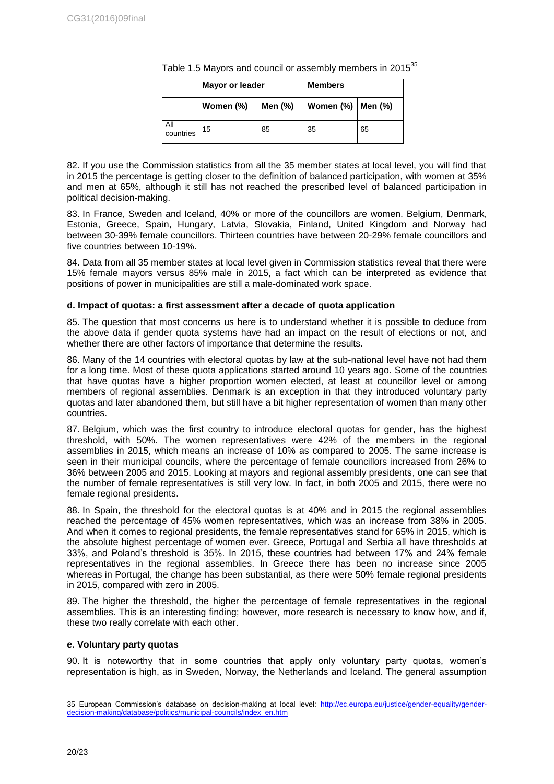|                  | <b>Mayor or leader</b> |         | <b>Members</b>      |    |
|------------------|------------------------|---------|---------------------|----|
|                  | Women (%)              | Men (%) | Women (%)   Men (%) |    |
| All<br>countries | 15                     | 85      | 35                  | 65 |

Table 1.5 Mayors and council or assembly members in 2015<sup>35</sup>

82. If you use the Commission statistics from all the 35 member states at local level, you will find that in 2015 the percentage is getting closer to the definition of balanced participation, with women at 35% and men at 65%, although it still has not reached the prescribed level of balanced participation in political decision-making.

83. In France, Sweden and Iceland, 40% or more of the councillors are women. Belgium, Denmark, Estonia, Greece, Spain, Hungary, Latvia, Slovakia, Finland, United Kingdom and Norway had between 30-39% female councillors. Thirteen countries have between 20-29% female councillors and five countries between 10-19%.

84. Data from all 35 member states at local level given in Commission statistics reveal that there were 15% female mayors versus 85% male in 2015, a fact which can be interpreted as evidence that positions of power in municipalities are still a male-dominated work space.

# <span id="page-19-0"></span>**d. Impact of quotas: a first assessment after a decade of quota application**

85. The question that most concerns us here is to understand whether it is possible to deduce from the above data if gender quota systems have had an impact on the result of elections or not, and whether there are other factors of importance that determine the results.

86. Many of the 14 countries with electoral quotas by law at the sub-national level have not had them for a long time. Most of these quota applications started around 10 years ago. Some of the countries that have quotas have a higher proportion women elected, at least at councillor level or among members of regional assemblies. Denmark is an exception in that they introduced voluntary party quotas and later abandoned them, but still have a bit higher representation of women than many other countries.

87. Belgium, which was the first country to introduce electoral quotas for gender, has the highest threshold, with 50%. The women representatives were 42% of the members in the regional assemblies in 2015, which means an increase of 10% as compared to 2005. The same increase is seen in their municipal councils, where the percentage of female councillors increased from 26% to 36% between 2005 and 2015. Looking at mayors and regional assembly presidents, one can see that the number of female representatives is still very low. In fact, in both 2005 and 2015, there were no female regional presidents.

88. In Spain, the threshold for the electoral quotas is at 40% and in 2015 the regional assemblies reached the percentage of 45% women representatives, which was an increase from 38% in 2005. And when it comes to regional presidents, the female representatives stand for 65% in 2015, which is the absolute highest percentage of women ever. Greece, Portugal and Serbia all have thresholds at 33%, and Poland's threshold is 35%. In 2015, these countries had between 17% and 24% female representatives in the regional assemblies. In Greece there has been no increase since 2005 whereas in Portugal, the change has been substantial, as there were 50% female regional presidents in 2015, compared with zero in 2005.

89. The higher the threshold, the higher the percentage of female representatives in the regional assemblies. This is an interesting finding; however, more research is necessary to know how, and if, these two really correlate with each other.

# <span id="page-19-1"></span>**e. Voluntary party quotas**

90. It is noteworthy that in some countries that apply only voluntary party quotas, women's representation is high, as in Sweden, Norway, the Netherlands and Iceland. The general assumption

<sup>35</sup> European Commission's database on decision-making at local level: [http://ec.europa.eu/justice/gender-equality/gender](http://ec.europa.eu/justice/gender-equality/gender-decision-making/database/politics/municipal-councils/index_en.htm)[decision-making/database/politics/municipal-councils/index\\_en.htm](http://ec.europa.eu/justice/gender-equality/gender-decision-making/database/politics/municipal-councils/index_en.htm)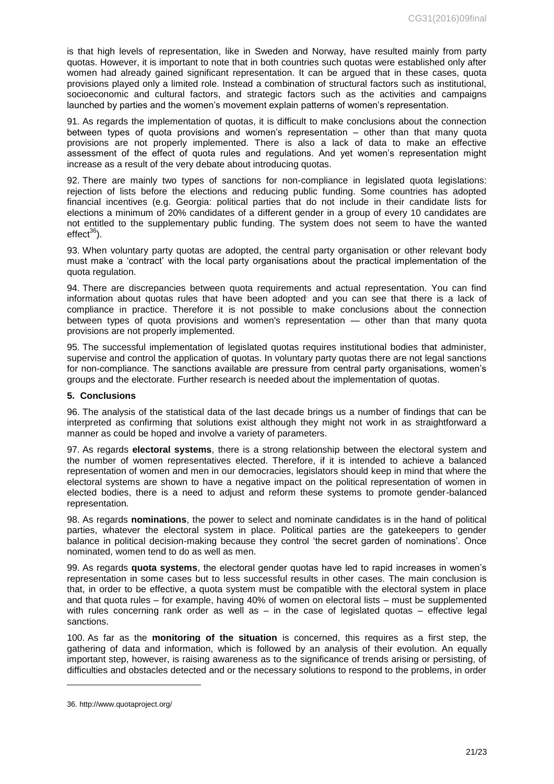is that high levels of representation, like in Sweden and Norway, have resulted mainly from party quotas. However, it is important to note that in both countries such quotas were established only after women had already gained significant representation. It can be argued that in these cases, quota provisions played only a limited role. Instead a combination of structural factors such as institutional, socioeconomic and cultural factors, and strategic factors such as the activities and campaigns launched by parties and the women's movement explain patterns of women's representation.

91. As regards the implementation of quotas, it is difficult to make conclusions about the connection between types of quota provisions and women's representation – other than that many quota provisions are not properly implemented. There is also a lack of data to make an effective assessment of the effect of quota rules and regulations. And yet women's representation might increase as a result of the very debate about introducing quotas.

92. There are mainly two types of sanctions for non-compliance in legislated quota legislations: rejection of lists before the elections and reducing public funding. Some countries has adopted financial incentives (e.g. Georgia: political parties that do not include in their candidate lists for elections a minimum of 20% candidates of a different gender in a group of every 10 candidates are not entitled to the supplementary public funding. The system does not seem to have the wanted  $effect^{36}$ ).

93. When voluntary party quotas are adopted, the central party organisation or other relevant body must make a 'contract' with the local party organisations about the practical implementation of the quota regulation.

94. There are discrepancies between quota requirements and actual representation. You can find information about quotas rules that have been adopted and you can see that there is a lack of compliance in practice. Therefore it is not possible to make conclusions about the connection between types of quota provisions and women's representation — other than that many quota provisions are not properly implemented.

95. The successful implementation of legislated quotas requires institutional bodies that administer, supervise and control the application of quotas. In voluntary party quotas there are not legal sanctions for non-compliance. The sanctions available are pressure from central party organisations, women's groups and the electorate. Further research is needed about the implementation of quotas.

## <span id="page-20-0"></span>**5. Conclusions**

96. The analysis of the statistical data of the last decade brings us a number of findings that can be interpreted as confirming that solutions exist although they might not work in as straightforward a manner as could be hoped and involve a variety of parameters.

97. As regards **electoral systems**, there is a strong relationship between the electoral system and the number of women representatives elected. Therefore, if it is intended to achieve a balanced representation of women and men in our democracies, legislators should keep in mind that where the electoral systems are shown to have a negative impact on the political representation of women in elected bodies, there is a need to adjust and reform these systems to promote gender-balanced representation.

98. As regards **nominations**, the power to select and nominate candidates is in the hand of political parties, whatever the electoral system in place. Political parties are the gatekeepers to gender balance in political decision-making because they control 'the secret garden of nominations'. Once nominated, women tend to do as well as men.

99. As regards **quota systems**, the electoral gender quotas have led to rapid increases in women's representation in some cases but to less successful results in other cases. The main conclusion is that, in order to be effective, a quota system must be compatible with the electoral system in place and that quota rules – for example, having 40% of women on electoral lists – must be supplemented with rules concerning rank order as well as  $-$  in the case of legislated quotas  $-$  effective legal sanctions.

100. As far as the **monitoring of the situation** is concerned, this requires as a first step, the gathering of data and information, which is followed by an analysis of their evolution. An equally important step, however, is raising awareness as to the significance of trends arising or persisting, of difficulties and obstacles detected and or the necessary solutions to respond to the problems, in order

<sup>36.</sup> http://www.quotaproject.org/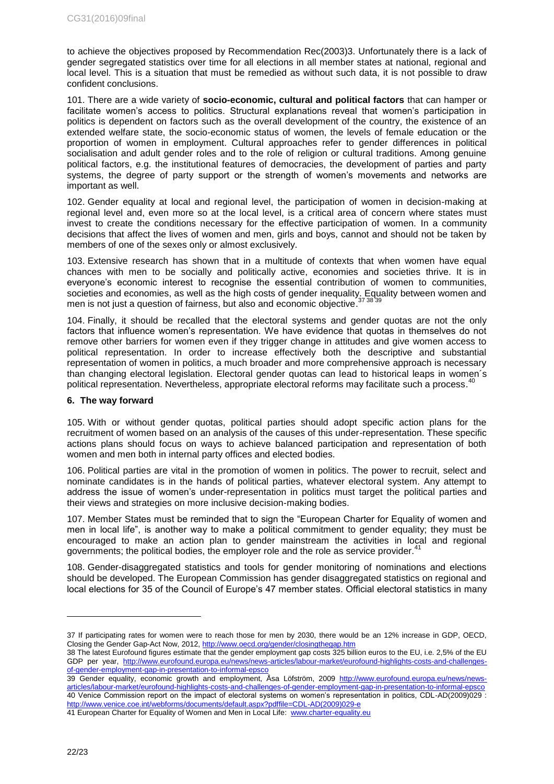to achieve the objectives proposed by Recommendation Rec(2003)3. Unfortunately there is a lack of gender segregated statistics over time for all elections in all member states at national, regional and local level. This is a situation that must be remedied as without such data, it is not possible to draw confident conclusions.

101. There are a wide variety of **socio-economic, cultural and political factors** that can hamper or facilitate women's access to politics. Structural explanations reveal that women's participation in politics is dependent on factors such as the overall development of the country, the existence of an extended welfare state, the socio-economic status of women, the levels of female education or the proportion of women in employment. Cultural approaches refer to gender differences in political socialisation and adult gender roles and to the role of religion or cultural traditions. Among genuine political factors, e.g. the institutional features of democracies, the development of parties and party systems, the degree of party support or the strength of women's movements and networks are important as well.

102. Gender equality at local and regional level, the participation of women in decision-making at regional level and, even more so at the local level, is a critical area of concern where states must invest to create the conditions necessary for the effective participation of women. In a community decisions that affect the lives of women and men, girls and boys, cannot and should not be taken by members of one of the sexes only or almost exclusively.

103. Extensive research has shown that in a multitude of contexts that when women have equal chances with men to be socially and politically active, economies and societies thrive. It is in everyone's economic interest to recognise the essential contribution of women to communities, societies and economies, as well as the high costs of gender inequality. Equality between women and social and<br>men is not just a question of foirness, but also and economic objective <sup>37,38,39</sup> men is not just a question of fairness, but also and economic objective.

104. Finally, it should be recalled that the electoral systems and gender quotas are not the only factors that influence women's representation. We have evidence that quotas in themselves do not remove other barriers for women even if they trigger change in attitudes and give women access to political representation. In order to increase effectively both the descriptive and substantial representation of women in politics, a much broader and more comprehensive approach is necessary than changing electoral legislation. Electoral gender quotas can lead to historical leaps in women´s political representation. Nevertheless, appropriate electoral reforms may facilitate such a process.<sup>40</sup>

#### <span id="page-21-0"></span>**6. The way forward**

105. With or without gender quotas, political parties should adopt specific action plans for the recruitment of women based on an analysis of the causes of this under-representation. These specific actions plans should focus on ways to achieve balanced participation and representation of both women and men both in internal party offices and elected bodies.

106. Political parties are vital in the promotion of women in politics. The power to recruit, select and nominate candidates is in the hands of political parties, whatever electoral system. Any attempt to address the issue of women's under-representation in politics must target the political parties and their views and strategies on more inclusive decision-making bodies.

107. Member States must be reminded that to sign the "European Charter for Equality of women and men in local life", is another way to make a political commitment to gender equality; they must be encouraged to make an action plan to gender mainstream the activities in local and regional governments; the political bodies, the employer role and the role as service provider.

108. Gender-disaggregated statistics and tools for gender monitoring of nominations and elections should be developed. The European Commission has gender disaggregated statistics on regional and local elections for 35 of the Council of Europe's 47 member states. Official electoral statistics in many

<sup>37</sup> If participating rates for women were to reach those for men by 2030, there would be an 12% increase in GDP, OECD, Closing the Gender Gap-Act Now, 2012[, http://www.oecd.org/gender/closingthegap.htm](http://www.oecd.org/gender/closingthegap.htm)

<sup>38</sup> The latest Eurofound figures estimate that the gender employment gap costs 325 billion euros to the EU, i.e. 2,5% of the EU GDP per year, [http://www.eurofound.europa.eu/news/news-articles/labour-market/eurofound-highlights-costs-and-challenges](http://www.eurofound.europa.eu/news/news-articles/labour-market/eurofound-highlights-costs-and-challenges-of-gender-employment-gap-in-presentation-to-informal-epsco)[of-gender-employment-gap-in-presentation-to-informal-epsco](http://www.eurofound.europa.eu/news/news-articles/labour-market/eurofound-highlights-costs-and-challenges-of-gender-employment-gap-in-presentation-to-informal-epsco)

<sup>39</sup> Gender equality, economic growth and employment, Åsa Löfström, 2009 [http://www.eurofound.europa.eu/news/news](http://www.eurofound.europa.eu/news/news-articles/labour-market/eurofound-highlights-costs-and-challenges-of-gender-employment-gap-in-presentation-to-informal-epsco)[articles/labour-market/eurofound-highlights-costs-and-challenges-of-gender-employment-gap-in-presentation-to-informal-epsco](http://www.eurofound.europa.eu/news/news-articles/labour-market/eurofound-highlights-costs-and-challenges-of-gender-employment-gap-in-presentation-to-informal-epsco) 40 Venice Commission report on the impact of electoral systems on women's representation in politics, CDL-AD(2009)029 : [http://www.venice.coe.int/webforms/documents/default.aspx?pdffile=CDL-AD\(2009\)029-e](http://www.venice.coe.int/webforms/documents/default.aspx?pdffile=CDL-AD(2009)029-e)

<sup>41</sup> European Charter for Equality of Women and Men in Local Life: [www.charter-equality.eu](http://www.charter-equality.eu/)